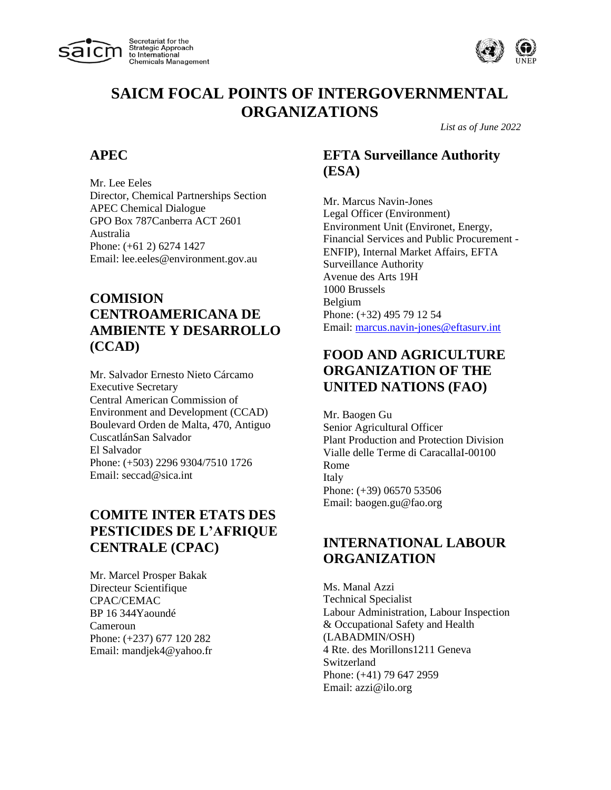



*List as of June 2022*

#### **APEC**

Mr. Lee Eeles Director, Chemical Partnerships Section APEC Chemical Dialogue GPO Box 787Canberra ACT 2601 Australia Phone: (+61 2) 6274 1427 Email: lee.eeles@environment.gov.au

## **COMISION CENTROAMERICANA DE AMBIENTE Y DESARROLLO (CCAD)**

Mr. Salvador Ernesto Nieto Cárcamo Executive Secretary Central American Commission of Environment and Development (CCAD) Boulevard Orden de Malta, 470, Antiguo CuscatlánSan Salvador El Salvador Phone: (+503) 2296 9304/7510 1726 Email: seccad@sica.int

## **COMITE INTER ETATS DES PESTICIDES DE L'AFRIQUE CENTRALE (CPAC)**

Mr. Marcel Prosper Bakak Directeur Scientifique CPAC/CEMAC BP 16 344Yaoundé Cameroun Phone: (+237) 677 120 282 Email: mandjek4@yahoo.fr

### **EFTA Surveillance Authority (ESA)**

Mr. Marcus Navin-Jones Legal Officer (Environment) Environment Unit (Environet, Energy, Financial Services and Public Procurement - ENFIP), Internal Market Affairs, EFTA Surveillance Authority Avenue des Arts 19H 1000 Brussels Belgium Phone: (+32) 495 79 12 54 Email: [marcus.navin-jones@eftasurv.int](mailto:marcus.navin-jones@eftasurv.int)

### **FOOD AND AGRICULTURE ORGANIZATION OF THE UNITED NATIONS (FAO)**

Mr. Baogen Gu Senior Agricultural Officer Plant Production and Protection Division Vialle delle Terme di CaracallaI-00100 Rome Italy Phone: (+39) 06570 53506 Email: baogen.gu@fao.org

#### **INTERNATIONAL LABOUR ORGANIZATION**

Ms. Manal Azzi Technical Specialist Labour Administration, Labour Inspection & Occupational Safety and Health (LABADMIN/OSH) 4 Rte. des Morillons1211 Geneva Switzerland Phone: (+41) 79 647 2959 Email: azzi@ilo.org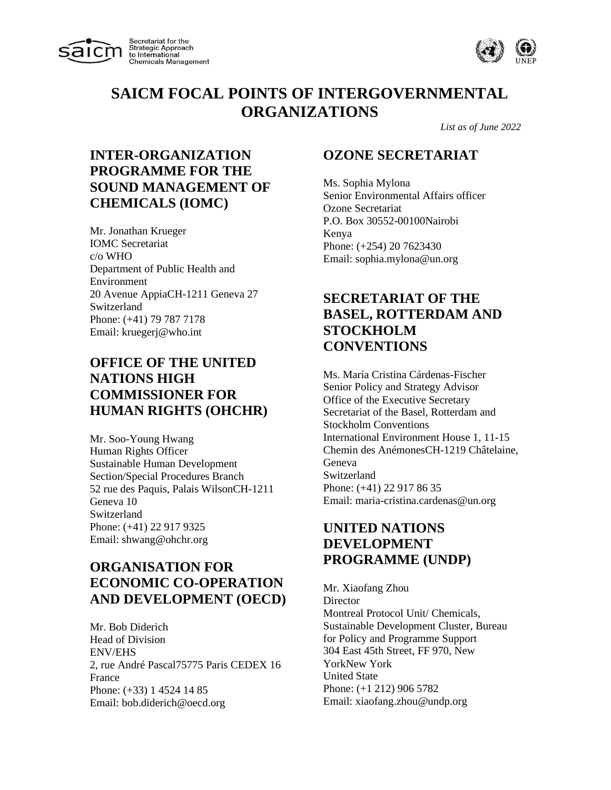



*List as of June 2022*

## **INTER-ORGANIZATION PROGRAMME FOR THE SOUND MANAGEMENT OF CHEMICALS (IOMC)**

Mr. Jonathan Krueger IOMC Secretariat c/o WHO Department of Public Health and Environment 20 Avenue AppiaCH-1211 Geneva 27 Switzerland Phone: (+41) 79 787 7178 Email: kruegerj@who.int

### **OFFICE OF THE UNITED NATIONS HIGH COMMISSIONER FOR HUMAN RIGHTS (OHCHR)**

Mr. Soo-Young Hwang Human Rights Officer Sustainable Human Development Section/Special Procedures Branch 52 rue des Paquis, Palais WilsonCH-1211 Geneva 10 Switzerland Phone: (+41) 22 917 9325 Email: shwang@ohchr.org

### **ORGANISATION FOR ECONOMIC CO-OPERATION AND DEVELOPMENT (OECD)**

Mr. Bob Diderich Head of Division ENV/EHS 2, rue André Pascal75775 Paris CEDEX 16 France Phone: (+33) 1 4524 14 85 Email: bob.diderich@oecd.org

#### **OZONE SECRETARIAT**

Ms. Sophia Mylona Senior Environmental Affairs officer Ozone Secretariat P.O. Box 30552-00100Nairobi Kenya Phone: (+254) 20 7623430 Email: sophia.mylona@un.org

#### **SECRETARIAT OF THE BASEL, ROTTERDAM AND STOCKHOLM CONVENTIONS**

Ms. María Cristina Cárdenas-Fischer Senior Policy and Strategy Advisor Office of the Executive Secretary Secretariat of the Basel, Rotterdam and Stockholm Conventions International Environment House 1, 11-15 Chemin des AnémonesCH-1219 Châtelaine, Geneva Switzerland Phone: (+41) 22 917 86 35 Email: maria-cristina.cardenas@un.org

#### **UNITED NATIONS DEVELOPMENT PROGRAMME (UNDP)**

Mr. Xiaofang Zhou **Director** Montreal Protocol Unit/ Chemicals, Sustainable Development Cluster, Bureau for Policy and Programme Support 304 East 45th Street, FF 970, New YorkNew York United State Phone: (+1 212) 906 5782 Email: xiaofang.zhou@undp.org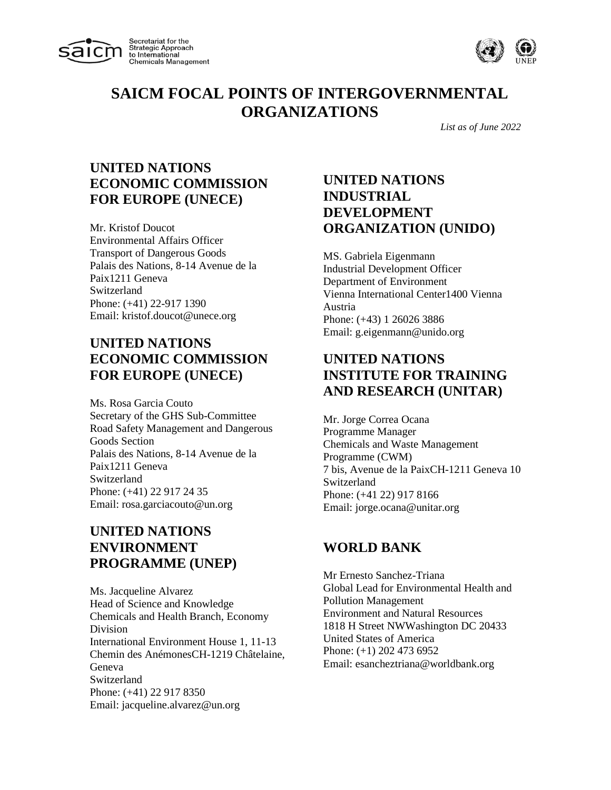



*List as of June 2022*

#### **UNITED NATIONS ECONOMIC COMMISSION FOR EUROPE (UNECE)**

Mr. Kristof Doucot Environmental Affairs Officer Transport of Dangerous Goods Palais des Nations, 8-14 Avenue de la Paix1211 Geneva Switzerland Phone: (+41) 22-917 1390 Email: kristof.doucot@unece.org

#### **UNITED NATIONS ECONOMIC COMMISSION FOR EUROPE (UNECE)**

Ms. Rosa Garcia Couto Secretary of the GHS Sub-Committee Road Safety Management and Dangerous Goods Section Palais des Nations, 8-14 Avenue de la Paix1211 Geneva Switzerland Phone: (+41) 22 917 24 35 Email: rosa.garciacouto@un.org

#### **UNITED NATIONS ENVIRONMENT PROGRAMME (UNEP)**

Ms. Jacqueline Alvarez Head of Science and Knowledge Chemicals and Health Branch, Economy Division International Environment House 1, 11-13 Chemin des AnémonesCH-1219 Châtelaine, Geneva Switzerland Phone: (+41) 22 917 8350 Email: jacqueline.alvarez@un.org

### **UNITED NATIONS INDUSTRIAL DEVELOPMENT ORGANIZATION (UNIDO)**

MS. Gabriela Eigenmann Industrial Development Officer Department of Environment Vienna International Center1400 Vienna Austria Phone: (+43) 1 26026 3886 Email: g.eigenmann@unido.org

## **UNITED NATIONS INSTITUTE FOR TRAINING AND RESEARCH (UNITAR)**

Mr. Jorge Correa Ocana Programme Manager Chemicals and Waste Management Programme (CWM) 7 bis, Avenue de la PaixCH-1211 Geneva 10 Switzerland Phone: (+41 22) 917 8166 Email: jorge.ocana@unitar.org

# **WORLD BANK**

Mr Ernesto Sanchez-Triana Global Lead for Environmental Health and Pollution Management Environment and Natural Resources 1818 H Street NWWashington DC 20433 United States of America Phone: (+1) 202 473 6952 Email: esancheztriana@worldbank.org